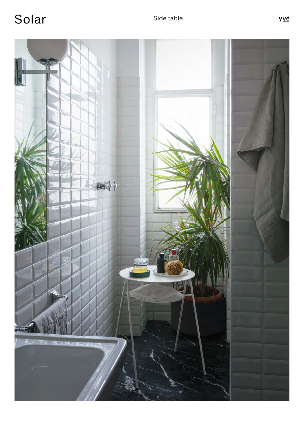Solar Side table

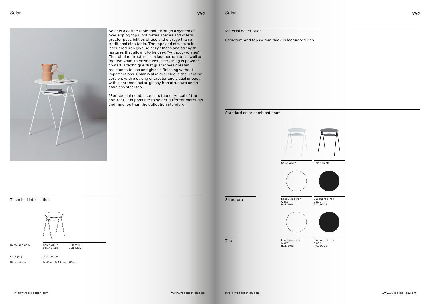Solar is a coffee table that, through a system of overlapping tops, optimizes spaces and offers greater possibilities of use and storage than a traditional side table. The tops and structure in lacquered iron give Solar lightness and strength, features that allow it to be used "without worries". The tubular structure is in lacquered iron as well as the two 4mm-thick shelves, everything is powdercoated, a technique that guarantees greater resistance to use and gives a finishing without imperfections. Solar is also available in the Chrome version, with a strong character and visual impact, with a chromed extra-glossy iron structure and a stainless steel top.

\*For special needs, such as those typical of the contract, it is possible to select different materials and finishes than the collection standard.



Small table

W 46 cm D 46 cm H 60 cm

Technical information



Name and code

Solar White<br>Solar Black SLR-WHT<br>SLR-BLK

Category

Dimensions

Structure and tops 4 mm thick in lacquered iron.

Solar

<u>yvé</u>

Material description

Standard color combinations\*



Solar White Solar Black



**Structure** 



Lacquered iron







Lacquered iron black RAL 9005

Lacquered iron white RAL 9016

Lacquered iron white RAL 9016

Top